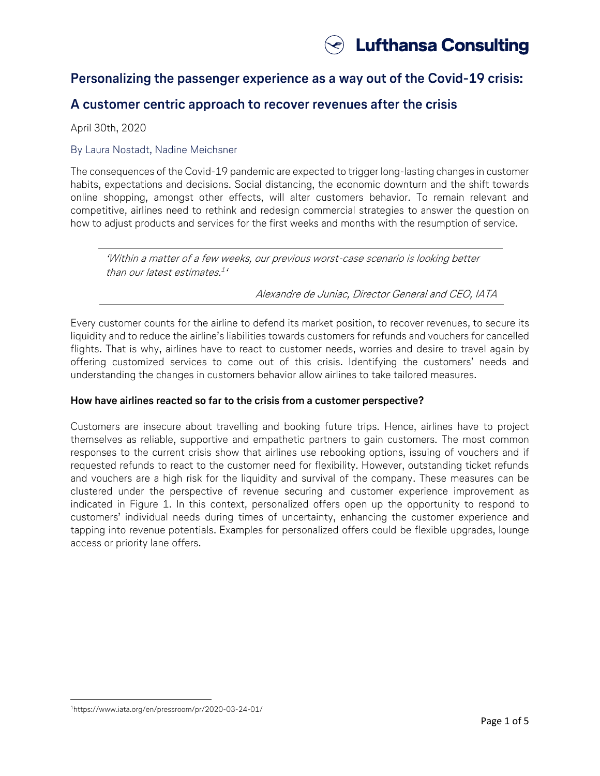

# **Personalizing the passenger experience as a way out of the Covid-19 crisis:**

# **A customer centric approach to recover revenues after the crisis**

April 30th, 2020

### By Laura Nostadt, Nadine Meichsner

The consequences of the Covid-19 pandemic are expected to trigger long-lasting changes in customer habits, expectations and decisions. Social distancing, the economic downturn and the shift towards online shopping, amongst other effects, will alter customers behavior. To remain relevant and competitive, airlines need to rethink and redesign commercial strategies to answer the question on how to adjust products and services for the first weeks and months with the resumption of service. <sup>1</sup>

'Within a matter of a few weeks, our previous worst-case scenario is looking better than our latest estimates. 1 '

Alexandre de Juniac, Director General and CEO, IATA

Every customer counts for the airline to defend its market position, to recover revenues, to secure its liquidity and to reduce the airline's liabilities towards customers for refunds and vouchers for cancelled flights. That is why, airlines have to react to customer needs, worries and desire to travel again by offering customized services to come out of this crisis. Identifying the customers' needs and understanding the changes in customers behavior allow airlines to take tailored measures.

# **How have airlines reacted so far to the crisis from a customer perspective?**

Customers are insecure about travelling and booking future trips. Hence, airlines have to project themselves as reliable, supportive and empathetic partners to gain customers. The most common responses to the current crisis show that airlines use rebooking options, issuing of vouchers and if requested refunds to react to the customer need for flexibility. However, outstanding ticket refunds and vouchers are a high risk for the liquidity and survival of the company. These measures can be clustered under the perspective of revenue securing and customer experience improvement as indicated in Figure 1. In this context, personalized offers open up the opportunity to respond to customers' individual needs during times of uncertainty, enhancing the customer experience and tapping into revenue potentials. Examples for personalized offers could be flexible upgrades, lounge access or priority lane offers.

l <sup>1</sup><https://www.iata.org/en/pressroom/pr/2020-03-24-01/>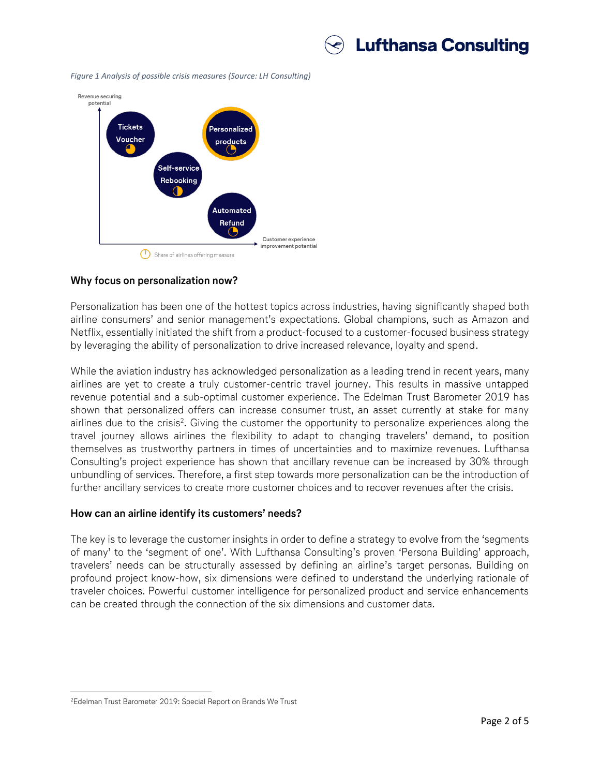

*Figure 1 Analysis of possible crisis measures (Source: LH Consulting)*



# **Why focus on personalization now?**

Personalization has been one of the hottest topics across industries, having significantly shaped both airline consumers' and senior management's expectations. Global champions, such as Amazon and Netflix, essentially initiated the shift from a product-focused to a customer-focused business strategy by leveraging the ability of personalization to drive increased relevance, loyalty and spend.

While the aviation industry has acknowledged personalization as a leading trend in recent years, many airlines are yet to create a truly customer-centric travel journey. This results in massive untapped revenue potential and a sub-optimal customer experience. The Edelman Trust Barometer 2019 has shown that personalized offers can increase consumer trust, an asset currently at stake for many airlines due to the crisis<sup>2</sup>. Giving the customer the opportunity to personalize experiences along the travel journey allows airlines the flexibility to adapt to changing travelers' demand, to position themselves as trustworthy partners in times of uncertainties and to maximize revenues. Lufthansa Consulting's project experience has shown that ancillary revenue can be increased by 30% through unbundling of services. Therefore, a first step towards more personalization can be the introduction of further ancillary services to create more customer choices and to recover revenues after the crisis.

#### **How can an airline identify its customers' needs?**

The key is to leverage the customer insights in order to define a strategy to evolve from the 'segments of many' to the 'segment of one'. With Lufthansa Consulting's proven 'Persona Building' approach, travelers' needs can be structurally assessed by defining an airline's target personas. Building on profound project know-how, six dimensions were defined to understand the underlying rationale of traveler choices. Powerful customer intelligence for personalized product and service enhancements can be created through the connection of the six dimensions and customer data.

 $\overline{a}$ 

<sup>2</sup>Edelman Trust Barometer 2019: Special Report on Brands We Trust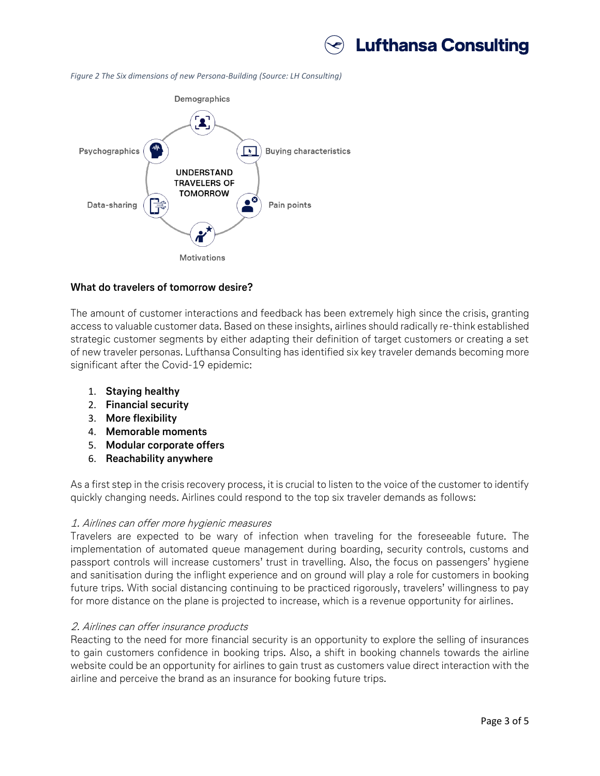

*Figure 2 The Six dimensions of new Persona-Building (Source: LH Consulting)*



#### **What do travelers of tomorrow desire?**

The amount of customer interactions and feedback has been extremely high since the crisis, granting access to valuable customer data. Based on these insights, airlines should radically re-think established strategic customer segments by either adapting their definition of target customers or creating a set of new traveler personas. Lufthansa Consulting has identified six key traveler demands becoming more significant after the Covid-19 epidemic:

- 1. **Staying healthy**
- 2. **Financial security**
- 3. **More flexibility**
- 4. **Memorable moments**
- 5. **Modular corporate offers**
- 6. **Reachability anywhere**

As a first step in the crisis recovery process, it is crucial to listen to the voice of the customer to identify quickly changing needs. Airlines could respond to the top six traveler demands as follows:

# 1. Airlines can offer more hygienic measures

Travelers are expected to be wary of infection when traveling for the foreseeable future. The implementation of automated queue management during boarding, security controls, customs and passport controls will increase customers' trust in travelling. Also, the focus on passengers' hygiene and sanitisation during the inflight experience and on ground will play a role for customers in booking future trips. With social distancing continuing to be practiced rigorously, travelers' willingness to pay for more distance on the plane is projected to increase, which is a revenue opportunity for airlines.

# 2. Airlines can offer insurance products

Reacting to the need for more financial security is an opportunity to explore the selling of insurances to gain customers confidence in booking trips. Also, a shift in booking channels towards the airline website could be an opportunity for airlines to gain trust as customers value direct interaction with the airline and perceive the brand as an insurance for booking future trips.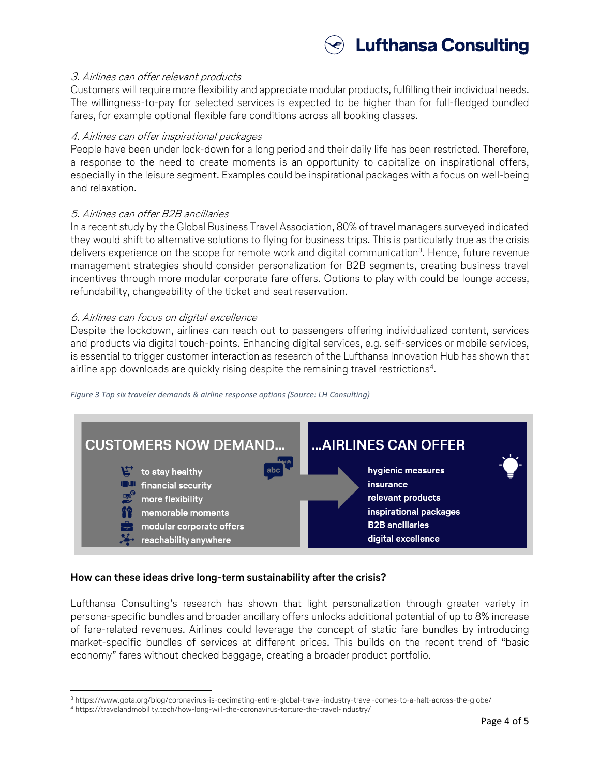

### 3. Airlines can offer relevant products

Customers will require more flexibility and appreciate modular products, fulfilling their individual needs. The willingness-to-pay for selected services is expected to be higher than for full-fledged bundled fares, for example optional flexible fare conditions across all booking classes.

#### 4. Airlines can offer inspirational packages

People have been under lock-down for a long period and their daily life has been restricted. Therefore, a response to the need to create moments is an opportunity to capitalize on inspirational offers, especially in the leisure segment. Examples could be inspirational packages with a focus on well-being and relaxation.

#### 5. Airlines can offer B2B ancillaries

In a recent study by the Global Business Travel Association, 80% of travel managers surveyed indicated they would shift to alternative solutions to flying for business trips. This is particularly true as the crisis delivers experience on the scope for remote work and digital communication $^3$ . Hence, future revenue management strategies should consider personalization for B2B segments, creating business travel incentives through more modular corporate fare offers. Options to play with could be lounge access, refundability, changeability of the ticket and seat reservation.

#### 6. Airlines can focus on digital excellence

Despite the lockdown, airlines can reach out to passengers offering individualized content, services and products via digital touch-points. Enhancing digital services, e.g. self-services or mobile services, is essential to trigger customer interaction as research of the Lufthansa Innovation Hub has shown that airline app downloads are quickly rising despite the remaining travel restrictions<sup>4</sup>.



#### *Figure 3 Top six traveler demands & airline response options (Source: LH Consulting)*

# **How can these ideas drive long-term sustainability after the crisis?**

Lufthansa Consulting's research has shown that light personalization through greater variety in persona-specific bundles and broader ancillary offers unlocks additional potential of up to 8% increase of fare-related revenues. Airlines could leverage the concept of static fare bundles by introducing market-specific bundles of services at different prices. This builds on the recent trend of "basic economy" fares without checked baggage, creating a broader product portfolio.

 $\overline{\phantom{a}}$ <sup>3</sup> <https://www.gbta.org/blog/coronavirus-is-decimating-entire-global-travel-industry-travel-comes-to-a-halt-across-the-globe/>

<sup>4</sup> <https://travelandmobility.tech/how-long-will-the-coronavirus-torture-the-travel-industry/>